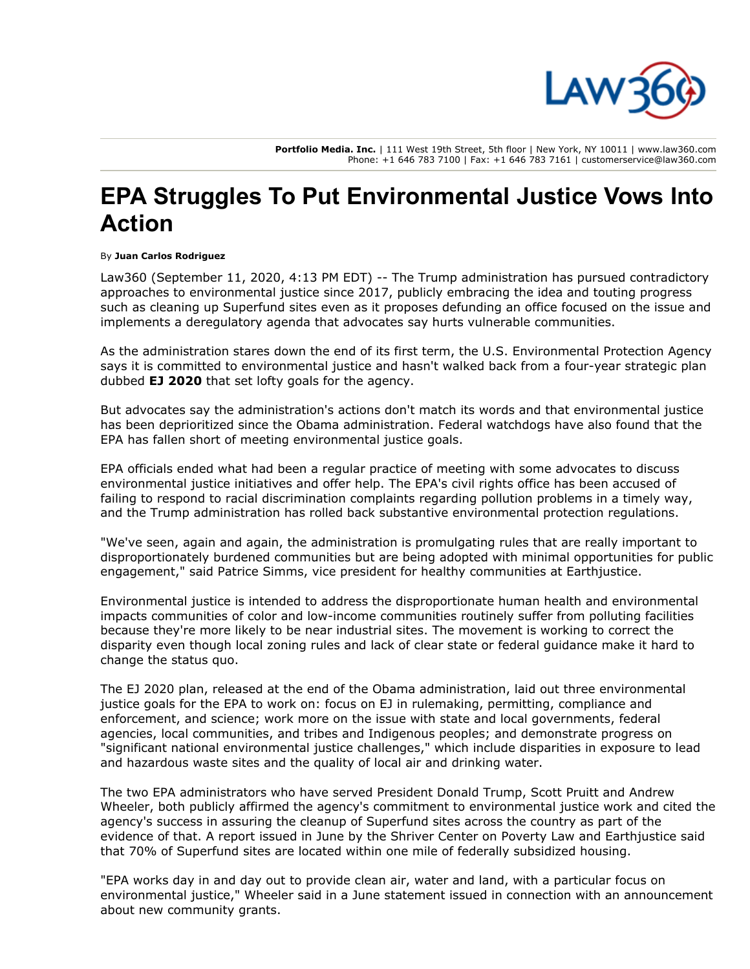

**Portfolio Media. Inc.** | 111 West 19th Street, 5th floor | New York, NY 10011 | www.law360.com Phone: +1 646 783 7100 | Fax: +1 646 783 7161 | customerservice@law360.com

## **EPA Struggles To Put Environmental Justice Vows Into Action**

## By **Juan Carlos Rodriguez**

Law360 (September 11, 2020, 4:13 PM EDT) -- The Trump administration has pursued contradictory approaches to environmental justice since 2017, publicly embracing the idea and touting progress such as cleaning up Superfund sites even as it proposes defunding an office focused on the issue and implements a deregulatory agenda that advocates say hurts vulnerable communities.

As the administration stares down the end of its first term, the [U.S. Environmental Protection Agency](https://www.law360.com/agencies/u-s-environmental-protection-agency) says it is committed to environmental justice and hasn't walked back from a four-year strategic plan dubbed **[EJ 2020](https://www.law360.com/articles/856469)** that set lofty goals for the agency.

But advocates say the administration's actions don't match its words and that environmental justice has been deprioritized since the Obama administration. Federal watchdogs have also found that the EPA has fallen short of meeting environmental justice goals.

EPA officials ended what had been a regular practice of meeting with some advocates to discuss environmental justice initiatives and offer help. The EPA's civil rights office has been accused of failing to respond to racial discrimination complaints regarding pollution problems in a timely way, and the Trump administration has rolled back substantive environmental protection regulations.

"We've seen, again and again, the administration is promulgating rules that are really important to disproportionately burdened communities but are being adopted with minimal opportunities for public engagement," said Patrice Simms, vice president for healthy communities at [Earthjustice.](https://www.law360.com/firms/earthjustice)

Environmental justice is intended to address the disproportionate human health and environmental impacts communities of color and low-income communities routinely suffer from polluting facilities because they're more likely to be near industrial sites. The movement is working to correct the disparity even though local zoning rules and lack of clear state or federal guidance make it hard to change the status quo.

The EJ 2020 plan, released at the end of the Obama administration, laid out three environmental justice goals for the EPA to work on: focus on EJ in rulemaking, permitting, compliance and enforcement, and science; work more on the issue with state and local governments, federal agencies, local communities, and tribes and Indigenous peoples; and demonstrate progress on "significant national environmental justice challenges," which include disparities in exposure to lead and hazardous waste sites and the quality of local air and drinking water.

The two EPA administrators who have served President Donald Trump, Scott Pruitt and Andrew Wheeler, both publicly affirmed the agency's commitment to environmental justice work and cited the agency's success in assuring the cleanup of Superfund sites across the country as part of the evidence of that. A report issued in June by the Shriver Center on Poverty Law and Earthjustice said that 70% of Superfund sites are located within one mile of federally subsidized housing.

"EPA works day in and day out to provide clean air, water and land, with a particular focus on environmental justice," Wheeler said in a June statement issued in connection with an announcement about new community grants.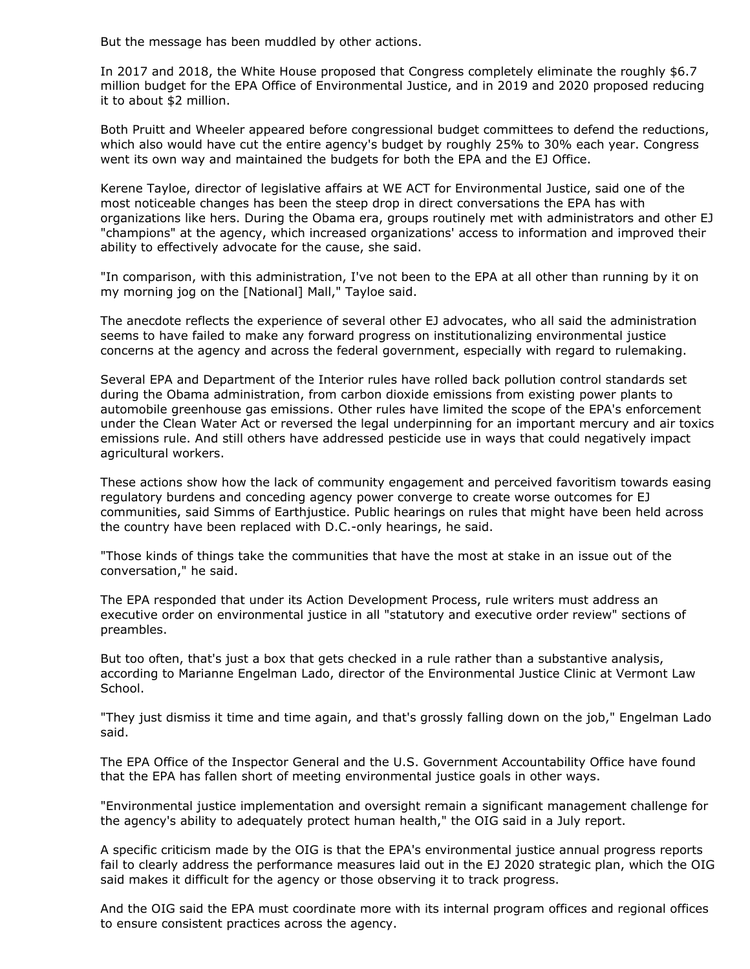But the message has been muddled by other actions.

In 2017 and 2018, the White House proposed that Congress completely eliminate the roughly \$6.7 million budget for the EPA Office of Environmental Justice, and in 2019 and 2020 proposed reducing it to about \$2 million.

Both Pruitt and Wheeler appeared before congressional budget committees to defend the reductions, which also would have cut the entire agency's budget by roughly 25% to 30% each year. Congress went its own way and maintained the budgets for both the EPA and the EJ Office.

Kerene Tayloe, director of legislative affairs at WE ACT for Environmental Justice, said one of the most noticeable changes has been the steep drop in direct conversations the EPA has with organizations like hers. During the Obama era, groups routinely met with administrators and other EJ "champions" at the agency, which increased organizations' access to information and improved their ability to effectively advocate for the cause, she said.

"In comparison, with this administration, I've not been to the EPA at all other than running by it on my morning jog on the [National] Mall," Tayloe said.

The anecdote reflects the experience of several other EJ advocates, who all said the administration seems to have failed to make any forward progress on institutionalizing environmental justice concerns at the agency and across the federal government, especially with regard to rulemaking.

Several EPA and [Department of the Interior](https://www.law360.com/agencies/u-s-department-of-the-interior) rules have rolled back pollution control standards set during the Obama administration, from carbon dioxide emissions from existing power plants to automobile greenhouse gas emissions. Other rules have limited the scope of the EPA's enforcement under the Clean Water Act or reversed the legal underpinning for an important mercury and air toxics emissions rule. And still others have addressed pesticide use in ways that could negatively impact agricultural workers.

These actions show how the lack of community engagement and perceived favoritism towards easing regulatory burdens and conceding agency power converge to create worse outcomes for EJ communities, said Simms of Earthjustice. Public hearings on rules that might have been held across the country have been replaced with D.C.-only hearings, he said.

"Those kinds of things take the communities that have the most at stake in an issue out of the conversation," he said.

The EPA responded that under its Action Development Process, rule writers must address an executive order on environmental justice in all "statutory and executive order review" sections of preambles.

But too often, that's just a box that gets checked in a rule rather than a substantive analysis, [according to Marianne Engelman Lado, director of the Environmental Justice Clinic at Vermont Law](https://www.law360.com/companies/vermont-law-school) School.

"They just dismiss it time and time again, and that's grossly falling down on the job," Engelman Lado said.

The EPA Office of the Inspector General and the U.S. [Government Accountability Office](https://www.law360.com/agencies/government-accountability-office) have found that the EPA has fallen short of meeting environmental justice goals in other ways.

"Environmental justice implementation and oversight remain a significant management challenge for the agency's ability to adequately protect human health," the OIG said in a July report.

A specific criticism made by the OIG is that the EPA's environmental justice annual progress reports fail to clearly address the performance measures laid out in the EJ 2020 strategic plan, which the OIG said makes it difficult for the agency or those observing it to track progress.

And the OIG said the EPA must coordinate more with its internal program offices and regional offices to ensure consistent practices across the agency.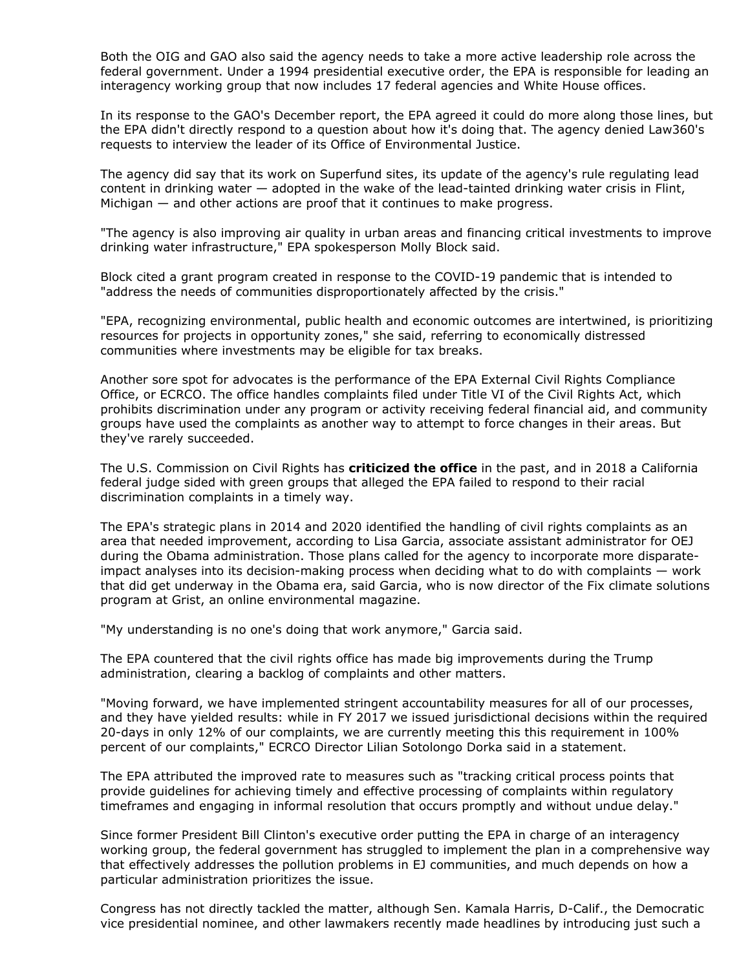Both the OIG and GAO also said the agency needs to take a more active leadership role across the federal government. Under a 1994 presidential executive order, the EPA is responsible for leading an interagency working group that now includes 17 federal agencies and White House offices.

In its response to the GAO's December report, the EPA agreed it could do more along those lines, but the EPA didn't directly respond to a question about how it's doing that. The agency denied Law360's requests to interview the leader of its Office of Environmental Justice.

The agency did say that its work on Superfund sites, its update of the agency's rule regulating lead content in drinking water  $-$  adopted in the wake of the lead-tainted drinking water crisis in Flint, Michigan — and other actions are proof that it continues to make progress.

"The agency is also improving air quality in urban areas and financing critical investments to improve drinking water infrastructure," EPA spokesperson Molly Block said.

Block cited a grant program created in response to the COVID-19 pandemic that is intended to "address the needs of communities disproportionately affected by the crisis."

"EPA, recognizing environmental, public health and economic outcomes are intertwined, is prioritizing resources for projects in opportunity zones," she said, referring to economically distressed communities where investments may be eligible for tax breaks.

Another sore spot for advocates is the performance of the EPA External Civil Rights Compliance Office, or ECRCO. The office handles complaints filed under Title VI of the Civil Rights Act, which prohibits discrimination under any program or activity receiving federal financial aid, and community groups have used the complaints as another way to attempt to force changes in their areas. But they've rarely succeeded.

The [U.S. Commission on Civil Rights](https://www.law360.com/agencies/u-s-commission-on-civil-rights) has **[criticized the office](https://www.law360.com/articles/843925)** in the past, and in 2018 a California federal judge sided with green groups that alleged the EPA failed to respond to their racial discrimination complaints in a timely way.

The EPA's strategic plans in 2014 and 2020 identified the handling of civil rights complaints as an area that needed improvement, according to Lisa Garcia, associate assistant administrator for OEJ during the Obama administration. Those plans called for the agency to incorporate more disparateimpact analyses into its decision-making process when deciding what to do with complaints — work that did get underway in the Obama era, said Garcia, who is now director of the Fix climate solutions program at Grist, an online environmental magazine.

"My understanding is no one's doing that work anymore," Garcia said.

The EPA countered that the civil rights office has made big improvements during the Trump administration, clearing a backlog of complaints and other matters.

"Moving forward, we have implemented stringent accountability measures for all of our processes, and they have yielded results: while in FY 2017 we issued jurisdictional decisions within the required 20-days in only 12% of our complaints, we are currently meeting this this requirement in 100% percent of our complaints," ECRCO Director Lilian Sotolongo Dorka said in a statement.

The EPA attributed the improved rate to measures such as "tracking critical process points that provide guidelines for achieving timely and effective processing of complaints within regulatory timeframes and engaging in informal resolution that occurs promptly and without undue delay."

Since former President Bill Clinton's executive order putting the EPA in charge of an interagency working group, the federal government has struggled to implement the plan in a comprehensive way that effectively addresses the pollution problems in EJ communities, and much depends on how a particular administration prioritizes the issue.

Congress has not directly tackled the matter, although Sen. Kamala Harris, D-Calif., the Democratic vice presidential nominee, and other lawmakers recently made headlines by introducing just such a